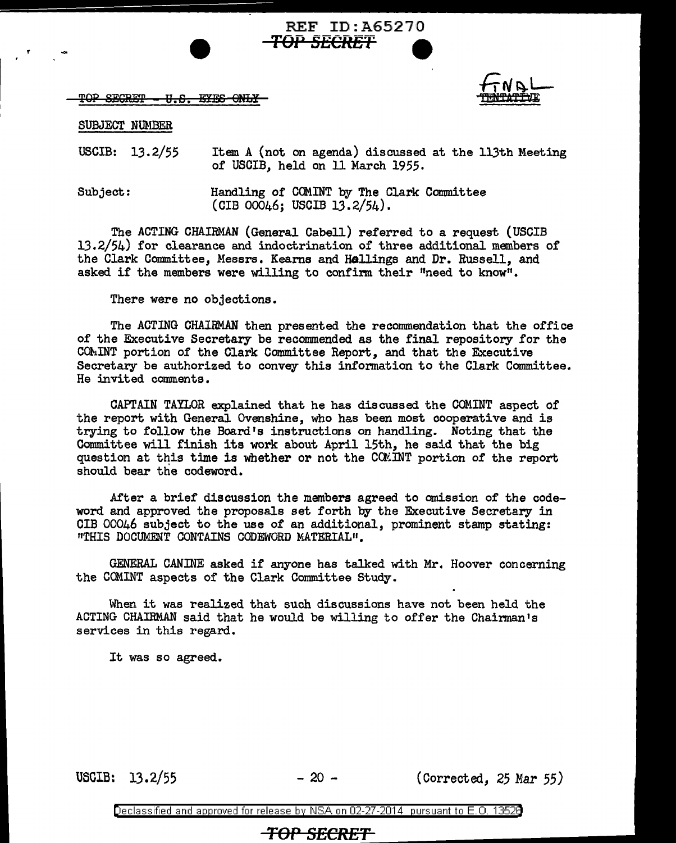TOP SECRET - U.S. EYES ONLY



## SUBJECT NUMBER

USCIB: 13.2/55 Item A (not on agenda) discussed at the 113th Meeting of USCIB, held on 11 March 1955.

**TOPSECRET 9** 

REF ID:A65270

Subject: Handling of COM.INT by The Clark Committee (CIB 00046; USCIB 13.2/54).

The ACTING CHAIRMAN (General Cabell) referred to a request (USCIB 13.2/54) for clearance and indoctrination of three additional members of the Clark Committee, Messrs. Kearns and Hallings and Dr. Russell, and asked if the members were willing to confirm their "need to know".

There were no objections.

The ACTING CHAIRMAN then presented the recommendation that the office of the Executive Secretary be recommended as the final repository for the CQ}.iINT portion of the Clark Committee Report, and that the Executive Secretary be authorized to convey this information to the Clark Committee. He invited comments.

CAPTAIN TAYLOR explained that he has discussed. the COM.INT aspect of the report with General Ovenshine, who has been most cooperative and is trying to follow the Board's instructions on handling. Noting that the Committee will finish its work about April 15th, he said that the big question at this time is whether or not the COMINT portion of the report should bear the codeword.

After a brief discussion the members agreed to omission of the codeword and approved the proposals set forth by the Executive Secretary in CIB 00046 subject to the use of an additional, prominent stamp stating: "THIS DOCUMENT CONTAINS CODEWORD MATERIAL".

GENERAL CANINE asked if anyone has talked with Mr. Hoover concerning the CCMINT aspects of the Clark Committee Study.

When it was realized that such discussions have not been held the ACTING CHAIRMAN said that he would be willing to offer the Chairman's services in this regard.

It was so agreed.

USCIB: 13.2/55 - 20 - (Corrected, 25 Mar 55)

Declassified and approved for release by NSA on 02-27-2014 pursuant to E. 0. 1352B